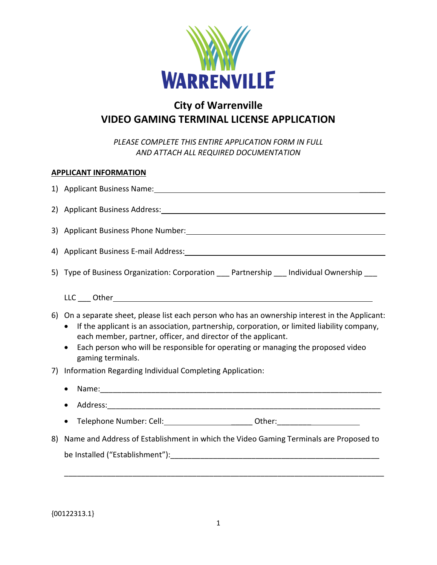

# **City of Warrenville VIDEO GAMING TERMINAL LICENSE APPLICATION**

*PLEASE COMPLETE THIS ENTIRE APPLICATION FORM IN FULL AND ATTACH ALL REQUIRED DOCUMENTATION*

### **APPLICANT INFORMATION**

|    | 2) Applicant Business Address: 2008 2014 12:00:00 12:00:00 12:00:00 12:00:00 12:00:00 12:00:00 12:00:00 12:00                                                                                                                                                                                                                                                                                                                                     |
|----|---------------------------------------------------------------------------------------------------------------------------------------------------------------------------------------------------------------------------------------------------------------------------------------------------------------------------------------------------------------------------------------------------------------------------------------------------|
|    | 3) Applicant Business Phone Number: 1998 and 1999 and 1999 and 1999 and 1999 and 1999 and 1999 and 1999 and 19                                                                                                                                                                                                                                                                                                                                    |
|    |                                                                                                                                                                                                                                                                                                                                                                                                                                                   |
|    | 5) Type of Business Organization: Corporation ___ Partnership ___ Individual Ownership ___                                                                                                                                                                                                                                                                                                                                                        |
| 7) | 6) On a separate sheet, please list each person who has an ownership interest in the Applicant:<br>If the applicant is an association, partnership, corporation, or limited liability company,<br>each member, partner, officer, and director of the applicant.<br>Each person who will be responsible for operating or managing the proposed video<br>$\bullet$<br>gaming terminals.<br>Information Regarding Individual Completing Application: |
|    |                                                                                                                                                                                                                                                                                                                                                                                                                                                   |
|    |                                                                                                                                                                                                                                                                                                                                                                                                                                                   |
| 8) | Name and Address of Establishment in which the Video Gaming Terminals are Proposed to                                                                                                                                                                                                                                                                                                                                                             |
|    |                                                                                                                                                                                                                                                                                                                                                                                                                                                   |

{00122313.1}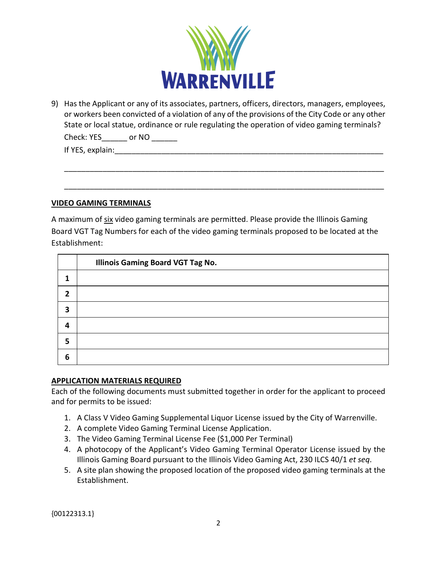

9) Has the Applicant or any of its associates, partners, officers, directors, managers, employees, or workers been convicted of a violation of any of the provisions of the City Code or any other State or local statue, ordinance or rule regulating the operation of video gaming terminals?

\_\_\_\_\_\_\_\_\_\_\_\_\_\_\_\_\_\_\_\_\_\_\_\_\_\_\_\_\_\_\_\_\_\_\_\_\_\_\_\_\_\_\_\_\_\_\_\_\_\_\_\_\_\_\_\_\_\_\_\_\_\_\_\_\_\_\_\_\_\_\_\_\_\_\_

\_\_\_\_\_\_\_\_\_\_\_\_\_\_\_\_\_\_\_\_\_\_\_\_\_\_\_\_\_\_\_\_\_\_\_\_\_\_\_\_\_\_\_\_\_\_\_\_\_\_\_\_\_\_\_\_\_\_\_\_\_\_\_\_\_\_\_\_\_\_\_\_\_\_\_

Check: YES or NO

If YES, explain:

#### **VIDEO GAMING TERMINALS**

A maximum of six video gaming terminals are permitted. Please provide the Illinois Gaming Board VGT Tag Numbers for each of the video gaming terminals proposed to be located at the Establishment:

|                | <b>Illinois Gaming Board VGT Tag No.</b> |
|----------------|------------------------------------------|
|                |                                          |
| $\overline{2}$ |                                          |
| 3              |                                          |
| Δ              |                                          |
| 5              |                                          |
| 6              |                                          |

## **APPLICATION MATERIALS REQUIRED**

Each of the following documents must submitted together in order for the applicant to proceed and for permits to be issued:

- 1. A Class V Video Gaming Supplemental Liquor License issued by the City of Warrenville.
- 2. A complete Video Gaming Terminal License Application.
- 3. The Video Gaming Terminal License Fee (\$1,000 Per Terminal)
- 4. A photocopy of the Applicant's Video Gaming Terminal Operator License issued by the Illinois Gaming Board pursuant to the Illinois Video Gaming Act, 230 ILCS 40/1 *et seq*.
- 5. A site plan showing the proposed location of the proposed video gaming terminals at the Establishment.

{00122313.1}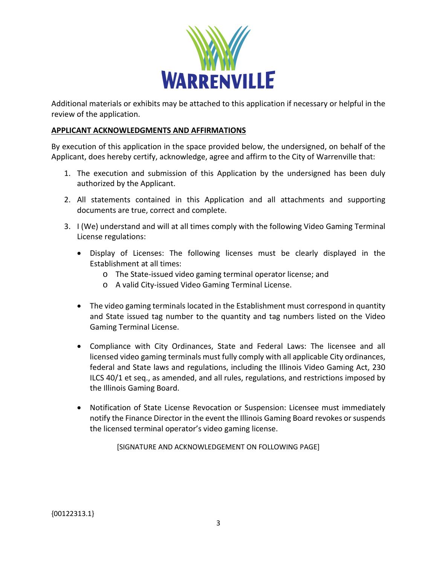

Additional materials or exhibits may be attached to this application if necessary or helpful in the review of the application.

#### **APPLICANT ACKNOWLEDGMENTS AND AFFIRMATIONS**

By execution of this application in the space provided below, the undersigned, on behalf of the Applicant, does hereby certify, acknowledge, agree and affirm to the City of Warrenville that:

- 1. The execution and submission of this Application by the undersigned has been duly authorized by the Applicant.
- 2. All statements contained in this Application and all attachments and supporting documents are true, correct and complete.
- 3. I (We) understand and will at all times comply with the following Video Gaming Terminal License regulations:
	- Display of Licenses: The following licenses must be clearly displayed in the Establishment at all times:
		- o The State-issued video gaming terminal operator license; and
		- o A valid City-issued Video Gaming Terminal License.
	- The video gaming terminals located in the Establishment must correspond in quantity and State issued tag number to the quantity and tag numbers listed on the Video Gaming Terminal License.
	- Compliance with City Ordinances, State and Federal Laws: The licensee and all licensed video gaming terminals must fully comply with all applicable City ordinances, federal and State laws and regulations, including the Illinois Video Gaming Act, 230 ILCS 40/1 et seq., as amended, and all rules, regulations, and restrictions imposed by the Illinois Gaming Board.
	- Notification of State License Revocation or Suspension: Licensee must immediately notify the Finance Director in the event the Illinois Gaming Board revokes or suspends the licensed terminal operator's video gaming license.

[SIGNATURE AND ACKNOWLEDGEMENT ON FOLLOWING PAGE]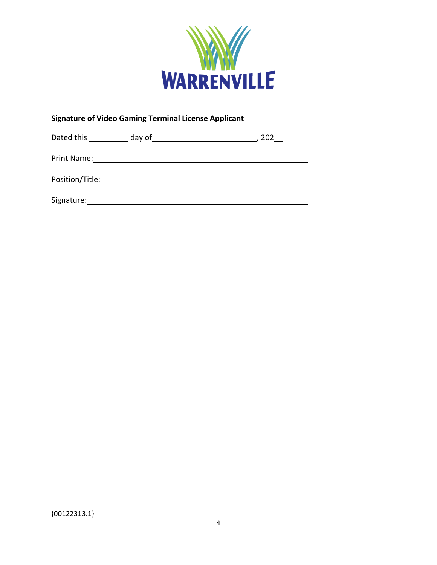

## **Signature of Video Gaming Terminal License Applicant**

| Dated this      | day of | 202 |
|-----------------|--------|-----|
| Print Name:     |        |     |
| Position/Title: |        |     |
| Signature:      |        |     |

{00122313.1}